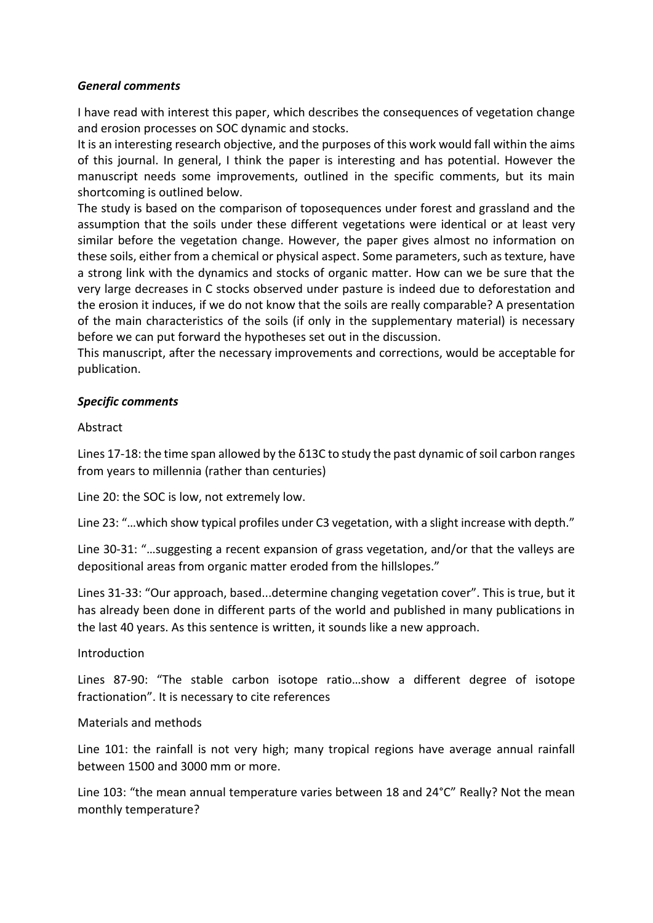# *General comments*

I have read with interest this paper, which describes the consequences of vegetation change and erosion processes on SOC dynamic and stocks.

It is an interesting research objective, and the purposes of this work would fall within the aims of this journal. In general, I think the paper is interesting and has potential. However the manuscript needs some improvements, outlined in the specific comments, but its main shortcoming is outlined below.

The study is based on the comparison of toposequences under forest and grassland and the assumption that the soils under these different vegetations were identical or at least very similar before the vegetation change. However, the paper gives almost no information on these soils, either from a chemical or physical aspect. Some parameters, such as texture, have a strong link with the dynamics and stocks of organic matter. How can we be sure that the very large decreases in C stocks observed under pasture is indeed due to deforestation and the erosion it induces, if we do not know that the soils are really comparable? A presentation of the main characteristics of the soils (if only in the supplementary material) is necessary before we can put forward the hypotheses set out in the discussion.

This manuscript, after the necessary improvements and corrections, would be acceptable for publication.

# *Specific comments*

## Abstract

Lines 17-18: the time span allowed by the δ13C to study the past dynamic of soil carbon ranges from years to millennia (rather than centuries)

Line 20: the SOC is low, not extremely low.

Line 23: "…which show typical profiles under C3 vegetation, with a slight increase with depth."

Line 30-31: "…suggesting a recent expansion of grass vegetation, and/or that the valleys are depositional areas from organic matter eroded from the hillslopes."

Lines 31-33: "Our approach, based...determine changing vegetation cover". This is true, but it has already been done in different parts of the world and published in many publications in the last 40 years. As this sentence is written, it sounds like a new approach.

## Introduction

Lines 87-90: "The stable carbon isotope ratio…show a different degree of isotope fractionation". It is necessary to cite references

## Materials and methods

Line 101: the rainfall is not very high; many tropical regions have average annual rainfall between 1500 and 3000 mm or more.

Line 103: "the mean annual temperature varies between 18 and 24°C" Really? Not the mean monthly temperature?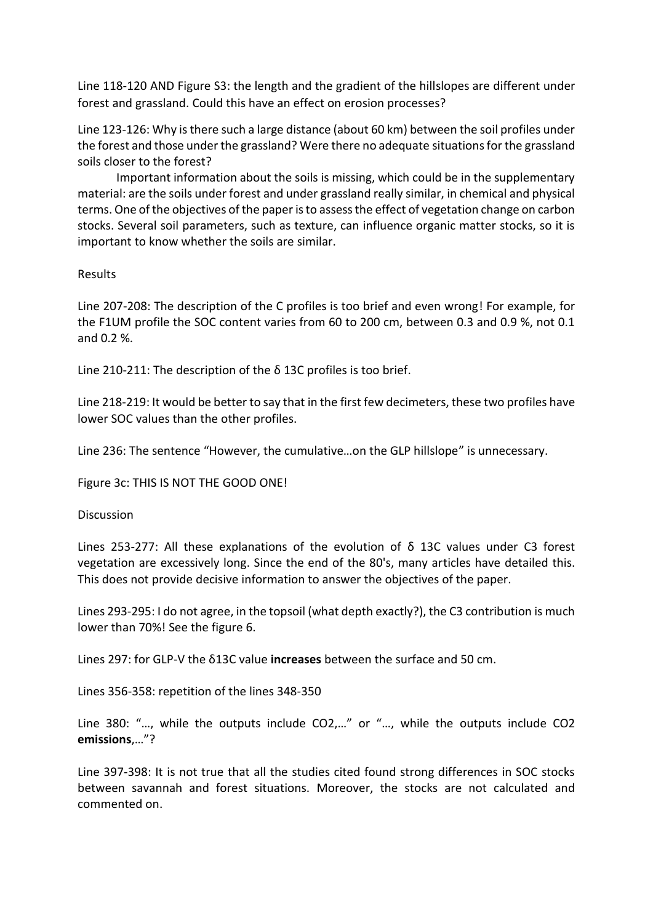Line 118-120 AND Figure S3: the length and the gradient of the hillslopes are different under forest and grassland. Could this have an effect on erosion processes?

Line 123-126: Why is there such a large distance (about 60 km) between the soil profiles under the forest and those under the grassland? Were there no adequate situations for the grassland soils closer to the forest?

Important information about the soils is missing, which could be in the supplementary material: are the soils under forest and under grassland really similar, in chemical and physical terms. One of the objectives of the paper is to assess the effect of vegetation change on carbon stocks. Several soil parameters, such as texture, can influence organic matter stocks, so it is important to know whether the soils are similar.

# Results

Line 207-208: The description of the C profiles is too brief and even wrong! For example, for the F1UM profile the SOC content varies from 60 to 200 cm, between 0.3 and 0.9 %, not 0.1 and 0.2 %.

Line 210-211: The description of the δ 13C profiles is too brief.

Line 218-219: It would be better to say that in the first few decimeters, these two profiles have lower SOC values than the other profiles.

Line 236: The sentence "However, the cumulative…on the GLP hillslope" is unnecessary.

Figure 3c: THIS IS NOT THE GOOD ONE!

**Discussion** 

Lines 253-277: All these explanations of the evolution of δ 13C values under C3 forest vegetation are excessively long. Since the end of the 80's, many articles have detailed this. This does not provide decisive information to answer the objectives of the paper.

Lines 293-295: I do not agree, in the topsoil (what depth exactly?), the C3 contribution is much lower than 70%! See the figure 6.

Lines 297: for GLP-V the δ13C value **increases** between the surface and 50 cm.

Lines 356-358: repetition of the lines 348-350

Line 380: "…, while the outputs include CO2,…" or "…, while the outputs include CO2 **emissions**,…"?

Line 397-398: It is not true that all the studies cited found strong differences in SOC stocks between savannah and forest situations. Moreover, the stocks are not calculated and commented on.